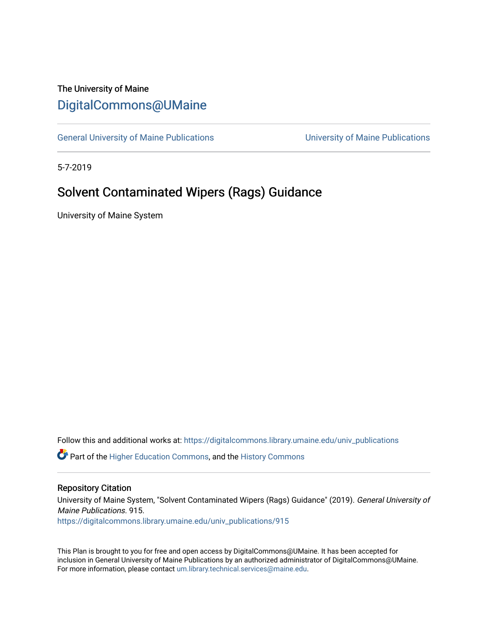# The University of Maine [DigitalCommons@UMaine](https://digitalcommons.library.umaine.edu/)

[General University of Maine Publications](https://digitalcommons.library.umaine.edu/univ_publications) [University of Maine Publications](https://digitalcommons.library.umaine.edu/umaine_publications) 

5-7-2019

# Solvent Contaminated Wipers (Rags) Guidance

University of Maine System

Follow this and additional works at: [https://digitalcommons.library.umaine.edu/univ\\_publications](https://digitalcommons.library.umaine.edu/univ_publications?utm_source=digitalcommons.library.umaine.edu%2Funiv_publications%2F915&utm_medium=PDF&utm_campaign=PDFCoverPages) 

**C** Part of the [Higher Education Commons,](http://network.bepress.com/hgg/discipline/1245?utm_source=digitalcommons.library.umaine.edu%2Funiv_publications%2F915&utm_medium=PDF&utm_campaign=PDFCoverPages) and the [History Commons](http://network.bepress.com/hgg/discipline/489?utm_source=digitalcommons.library.umaine.edu%2Funiv_publications%2F915&utm_medium=PDF&utm_campaign=PDFCoverPages)

#### Repository Citation

University of Maine System, "Solvent Contaminated Wipers (Rags) Guidance" (2019). General University of Maine Publications. 915.

[https://digitalcommons.library.umaine.edu/univ\\_publications/915](https://digitalcommons.library.umaine.edu/univ_publications/915?utm_source=digitalcommons.library.umaine.edu%2Funiv_publications%2F915&utm_medium=PDF&utm_campaign=PDFCoverPages) 

This Plan is brought to you for free and open access by DigitalCommons@UMaine. It has been accepted for inclusion in General University of Maine Publications by an authorized administrator of DigitalCommons@UMaine. For more information, please contact [um.library.technical.services@maine.edu](mailto:um.library.technical.services@maine.edu).